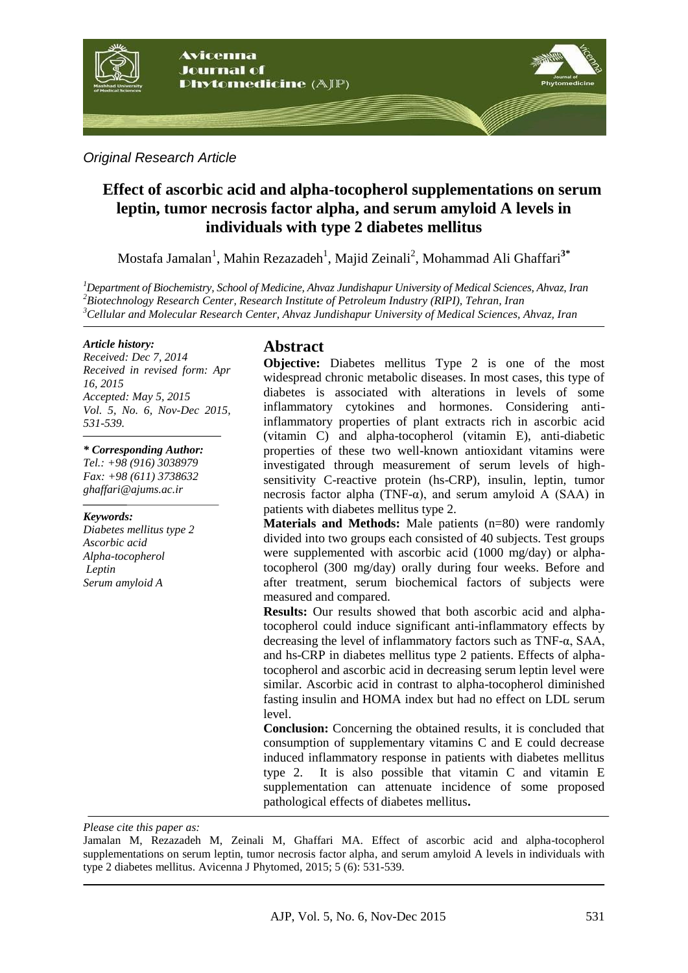

*Original Research Article*

# **Effect of ascorbic acid and alpha-tocopherol supplementations on serum leptin, tumor necrosis factor alpha, and serum amyloid A levels in individuals with type 2 diabetes mellitus**

Mostafa Jamalan<sup>1</sup>, Mahin Rezazadeh<sup>1</sup>, Majid Zeinali<sup>2</sup>, Mohammad Ali Ghaffari<sup>3\*</sup>

*<sup>1</sup>Department of Biochemistry, School of Medicine, Ahvaz Jundishapur University of Medical Sciences, Ahvaz, Iran <sup>2</sup>Biotechnology Research Center, Research Institute of Petroleum Industry (RIPI), Tehran, Iran <sup>3</sup>Cellular and Molecular Research Center, Ahvaz Jundishapur University of Medical Sciences, Ahvaz, Iran*

#### *Article history:*

*Received: Dec 7, 2014 Received in revised form: Apr 16, 2015 Accepted: May 5, 2015 Vol. 5, No. 6, Nov-Dec 2015, 531-539.*

#### *\* Corresponding Author:*

*Tel.: +98 (916) 3038979 Fax: +98 (611) 3738632 [ghaffari@ajums.ac.ir](mailto:ghaffari@ajums.ac.ir)*

#### *Keywords:*

*Diabetes mellitus type 2 Ascorbic acid Alpha-tocopherol Leptin Serum amyloid A*

## **Abstract**

**Objective:** Diabetes mellitus Type 2 is one of the most widespread chronic metabolic diseases. In most cases, this type of diabetes is associated with alterations in levels of some inflammatory cytokines and hormones. Considering antiinflammatory properties of plant extracts rich in ascorbic acid (vitamin C) and alpha-tocopherol (vitamin E), anti-diabetic properties of these two well-known antioxidant vitamins were investigated through measurement of serum levels of highsensitivity C-reactive protein (hs-CRP), insulin, leptin, tumor necrosis factor alpha (TNF-α), and serum amyloid A (SAA) in patients with diabetes mellitus type 2.

**Materials and Methods:** Male patients (n=80) were randomly divided into two groups each consisted of 40 subjects. Test groups were supplemented with ascorbic acid (1000 mg/day) or alphatocopherol (300 mg/day) orally during four weeks. Before and after treatment, serum biochemical factors of subjects were measured and compared.

**Results:** Our results showed that both ascorbic acid and alphatocopherol could induce significant anti-inflammatory effects by decreasing the level of inflammatory factors such as TNF-α, SAA, and hs-CRP in diabetes mellitus type 2 patients. Effects of alphatocopherol and ascorbic acid in decreasing serum leptin level were similar. Ascorbic acid in contrast to alpha-tocopherol diminished fasting insulin and HOMA index but had no effect on LDL serum level.

**Conclusion:** Concerning the obtained results, it is concluded that consumption of supplementary vitamins C and E could decrease induced inflammatory response in patients with diabetes mellitus type 2. It is also possible that vitamin C and vitamin E supplementation can attenuate incidence of some proposed pathological effects of diabetes mellitus**.**

*Please cite this paper as:* 

Jamalan M, Rezazadeh M, Zeinali M, Ghaffari MA. Effect of ascorbic acid and alpha-tocopherol supplementations on serum leptin, tumor necrosis factor alpha, and serum amyloid A levels in individuals with type 2 diabetes mellitus. Avicenna J Phytomed, 2015; 5 (6): 531-539.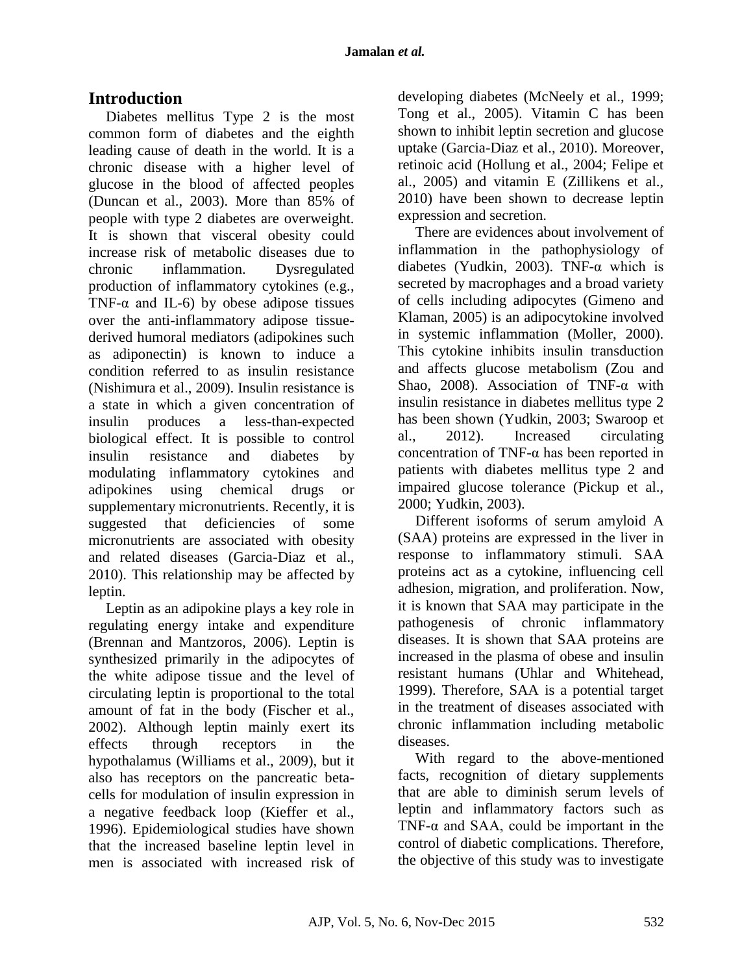# **Introduction**

Diabetes mellitus Type 2 is the most common form of diabetes and the eighth leading cause of death in the world. It is a chronic disease with a higher level of glucose in the blood of affected peoples (Duncan et al., 2003). More than 85% of people with type 2 diabetes are overweight. It is shown that visceral obesity could increase risk of metabolic diseases due to chronic inflammation. Dysregulated production of inflammatory cytokines (e.g., TNF- $\alpha$  and IL-6) by obese adipose tissues over the anti-inflammatory adipose tissuederived humoral mediators (adipokines such as adiponectin) is known to induce a condition referred to as insulin resistance (Nishimura et al., 2009). Insulin resistance is a state in which a given concentration of insulin produces a less-than-expected biological effect. It is possible to control insulin resistance and diabetes by modulating inflammatory cytokines and adipokines using chemical drugs or supplementary micronutrients. Recently, it is suggested that deficiencies of some micronutrients are associated with obesity and related diseases (Garcia-Diaz et al., 2010). This relationship may be affected by leptin.

Leptin as an adipokine plays a key role in regulating energy intake and expenditure (Brennan and Mantzoros, 2006). Leptin is synthesized primarily in the adipocytes of the white adipose tissue and the level of circulating leptin is proportional to the total amount of fat in the body (Fischer et al., 2002). Although leptin mainly exert its effects through receptors in the hypothalamus (Williams et al., 2009), but it also has receptors on the pancreatic betacells for modulation of insulin expression in a negative feedback loop (Kieffer et al., 1996). Epidemiological studies have shown that the increased baseline leptin level in men is associated with increased risk of

developing diabetes (McNeely et al., 1999; Tong et al., 2005). Vitamin C has been shown to inhibit leptin secretion and glucose uptake (Garcia-Diaz et al., 2010). Moreover, retinoic acid (Hollung et al., 2004; Felipe et al., 2005) and vitamin E (Zillikens et al., 2010) have been shown to decrease leptin expression and secretion.

There are evidences about involvement of inflammation in the pathophysiology of diabetes (Yudkin, 2003). TNF- $\alpha$  which is secreted by macrophages and a broad variety of cells including adipocytes (Gimeno and Klaman, 2005) is an adipocytokine involved in systemic inflammation (Moller, 2000). This cytokine inhibits insulin transduction and affects glucose metabolism (Zou and Shao, 2008). Association of TNF-α with insulin resistance in diabetes mellitus type 2 has been shown (Yudkin, 2003; Swaroop et al., 2012). Increased circulating concentration of TNF-α has been reported in patients with diabetes mellitus type 2 and impaired glucose tolerance (Pickup et al., 2000; Yudkin, 2003).

Different isoforms of serum amyloid A (SAA) proteins are expressed in the liver in response to inflammatory stimuli. SAA proteins act as a cytokine, influencing cell adhesion, migration, and proliferation. Now, it is known that SAA may participate in the pathogenesis of chronic inflammatory diseases. It is shown that SAA proteins are increased in the plasma of obese and insulin resistant humans (Uhlar and Whitehead, 1999). Therefore, SAA is a potential target in the treatment of diseases associated with chronic inflammation including metabolic diseases.

With regard to the above-mentioned facts, recognition of dietary supplements that are able to diminish serum levels of leptin and inflammatory factors such as TNF- $\alpha$  and SAA, could be important in the control of diabetic complications. Therefore, the objective of this study was to investigate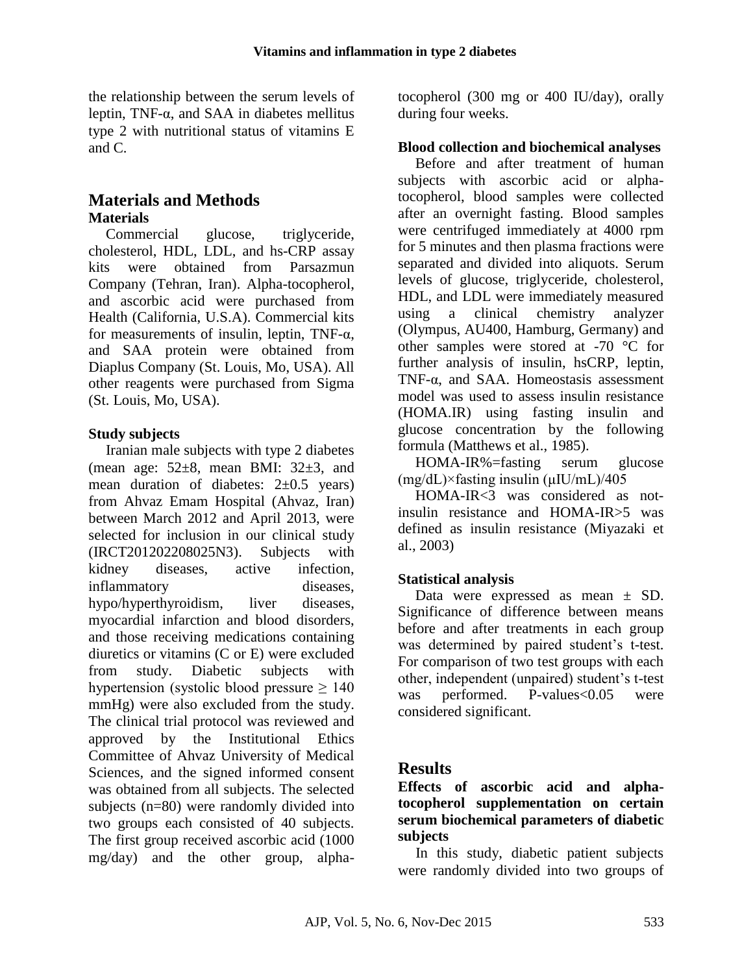the relationship between the serum levels of leptin, TNF-α, and SAA in diabetes mellitus type 2 with nutritional status of vitamins E and C.

## **Materials and Methods Materials**

Commercial glucose, triglyceride, cholesterol, HDL, LDL, and hs-CRP assay kits were obtained from Parsazmun Company (Tehran, Iran). Alpha-tocopherol, and ascorbic acid were purchased from Health (California, U.S.A). Commercial kits for measurements of insulin, leptin, TNF-α, and SAA protein were obtained from Diaplus Company (St. Louis, Mo, USA). All other reagents were purchased from Sigma (St. Louis, Mo, USA).

### **Study subjects**

Iranian male subjects with type 2 diabetes (mean age:  $52\pm8$ , mean BMI:  $32\pm3$ , and mean duration of diabetes:  $2\pm 0.5$  years) from Ahvaz Emam Hospital (Ahvaz, Iran) between March 2012 and April 2013, were selected for inclusion in our clinical study (IRCT201202208025N3). Subjects with kidney diseases, active infection, inflammatory diseases, hypo/hyperthyroidism, liver diseases, myocardial infarction and blood disorders, and those receiving medications containing diuretics or vitamins (C or E) were excluded from study. Diabetic subjects with hypertension (systolic blood pressure  $\geq 140$ ) mmHg) were also excluded from the study. The clinical trial protocol was reviewed and approved by the Institutional Ethics Committee of Ahvaz University of Medical Sciences, and the signed informed consent was obtained from all subjects. The selected subjects (n=80) were randomly divided into two groups each consisted of 40 subjects. The first group received ascorbic acid (1000 mg/day) and the other group, alphatocopherol (300 mg or 400 IU/day), orally during four weeks.

#### **Blood collection and biochemical analyses**

Before and after treatment of human subjects with ascorbic acid or alphatocopherol, blood samples were collected after an overnight fasting. Blood samples were centrifuged immediately at 4000 rpm for 5 minutes and then plasma fractions were separated and divided into aliquots. Serum levels of glucose, triglyceride, cholesterol, HDL, and LDL were immediately measured using a clinical chemistry analyzer (Olympus, AU400, Hamburg, Germany) and other samples were stored at -70 °C for further analysis of insulin, hsCRP, leptin, TNF-α, and SAA. Homeostasis assessment model was used to assess insulin resistance (HOMA.IR) using fasting insulin and glucose concentration by the following formula (Matthews et al., 1985).

HOMA-IR%=fasting serum glucose (mg/dL)×fasting insulin (μIU/mL)/405

HOMA-IR<3 was considered as notinsulin resistance and HOMA-IR>5 was defined as insulin resistance (Miyazaki et al., 2003)

## **Statistical analysis**

Data were expressed as mean ± SD. Significance of difference between means before and after treatments in each group was determined by paired student's t-test. For comparison of two test groups with each other, independent (unpaired) student's t-test was performed. P-values<0.05 were considered significant.

## **Results**

**Effects of ascorbic acid and alphatocopherol supplementation on certain serum biochemical parameters of diabetic subjects**

In this study, diabetic patient subjects were randomly divided into two groups of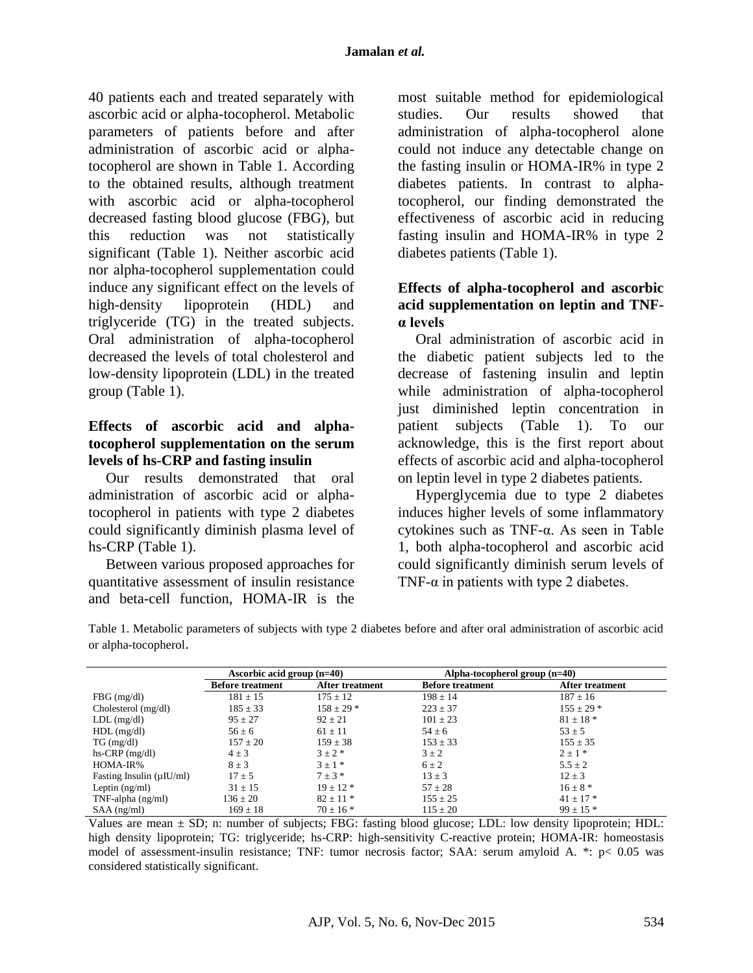40 patients each and treated separately with ascorbic acid or alpha-tocopherol. Metabolic parameters of patients before and after administration of ascorbic acid or alphatocopherol are shown in Table 1. According to the obtained results, although treatment with ascorbic acid or alpha-tocopherol decreased fasting blood glucose (FBG), but this reduction was not statistically significant (Table 1). Neither ascorbic acid nor alpha-tocopherol supplementation could induce any significant effect on the levels of high-density lipoprotein (HDL) and triglyceride (TG) in the treated subjects. Oral administration of alpha-tocopherol decreased the levels of total cholesterol and low-density lipoprotein (LDL) in the treated group (Table 1).

#### **Effects of ascorbic acid and alphatocopherol supplementation on the serum levels of hs-CRP and fasting insulin**

Our results demonstrated that oral administration of ascorbic acid or alphatocopherol in patients with type 2 diabetes could significantly diminish plasma level of hs-CRP (Table 1).

Between various proposed approaches for quantitative assessment of insulin resistance and beta-cell function, HOMA-IR is the

most suitable method for epidemiological studies. Our results showed that administration of alpha-tocopherol alone could not induce any detectable change on the fasting insulin or HOMA-IR% in type 2 diabetes patients. In contrast to alphatocopherol, our finding demonstrated the effectiveness of ascorbic acid in reducing fasting insulin and HOMA-IR% in type 2 diabetes patients (Table 1).

### **Effects of alpha-tocopherol and ascorbic acid supplementation on leptin and TNFα levels**

Oral administration of ascorbic acid in the diabetic patient subjects led to the decrease of fastening insulin and leptin while administration of alpha-tocopherol just diminished leptin concentration in patient subjects (Table 1). To our acknowledge, this is the first report about effects of ascorbic acid and alpha-tocopherol on leptin level in type 2 diabetes patients.

Hyperglycemia due to type 2 diabetes induces higher levels of some inflammatory cytokines such as TNF-α. As seen in Table 1, both alpha-tocopherol and ascorbic acid could significantly diminish serum levels of TNF- $\alpha$  in patients with type 2 diabetes.

Table 1. Metabolic parameters of subjects with type 2 diabetes before and after oral administration of ascorbic acid or alpha-tocopherol.

|                                | Ascorbic acid group $(n=40)$ |                        | Alpha-tocopherol group $(n=40)$ |                 |
|--------------------------------|------------------------------|------------------------|---------------------------------|-----------------|
|                                | <b>Before treatment</b>      | <b>After treatment</b> | <b>Before treatment</b>         | After treatment |
| $FBG$ (mg/dl)                  | $181 \pm 15$                 | $175 \pm 12$           | $198 \pm 14$                    | $187 \pm 16$    |
| Cholesterol (mg/dl)            | $185 \pm 33$                 | $158 \pm 29$ *         | $223 \pm 37$                    | $155 \pm 29$ *  |
| $LDL$ (mg/dl)                  | $95 \pm 27$                  | $92 \pm 21$            | $101 \pm 23$                    | $81 \pm 18$ *   |
| $HDL$ (mg/dl)                  | $56 \pm 6$                   | $61 \pm 11$            | $54 \pm 6$                      | $53 \pm 5$      |
| $TG \, (mg/dl)$                | $157 \pm 20$                 | $159 \pm 38$           | $153 \pm 33$                    | $155 \pm 35$    |
| $hs-CRP$ (mg/dl)               | $4 \pm 3$                    | $3 \pm 2$ *            | $3 \pm 2$                       | $2 \pm 1$ *     |
| HOMA-IR%                       | $8 \pm 3$                    | $3 \pm 1$ *            | $6 \pm 2$                       | $5.5 \pm 2$     |
| Fasting Insulin $(\mu I U/ml)$ | $17 \pm 5$                   | $7 \pm 3$ *            | $13 \pm 3$                      | $12 \pm 3$      |
| Leptin $(ng/ml)$               | $31 \pm 15$                  | $19 \pm 12$ *          | $57 \pm 28$                     | $16 \pm 8$ *    |
| $TNF$ -alpha (ng/ml)           | $136 \pm 20$                 | $82 \pm 11$ *          | $155 \pm 25$                    | $41 + 17$ *     |
| $SAA$ (ng/ml)                  | $169 \pm 18$                 | $70 + 16$ *            | $115 \pm 20$                    | $99 + 15 *$     |

Values are mean  $\pm$  SD; n: number of subjects; FBG: fasting blood glucose; LDL: low density lipoprotein; HDL: high density lipoprotein; TG: triglyceride; hs-CRP: high-sensitivity C-reactive protein; HOMA-IR: homeostasis model of assessment-insulin resistance; TNF: tumor necrosis factor; SAA: serum amyloid A. \*: p< 0.05 was considered statistically significant.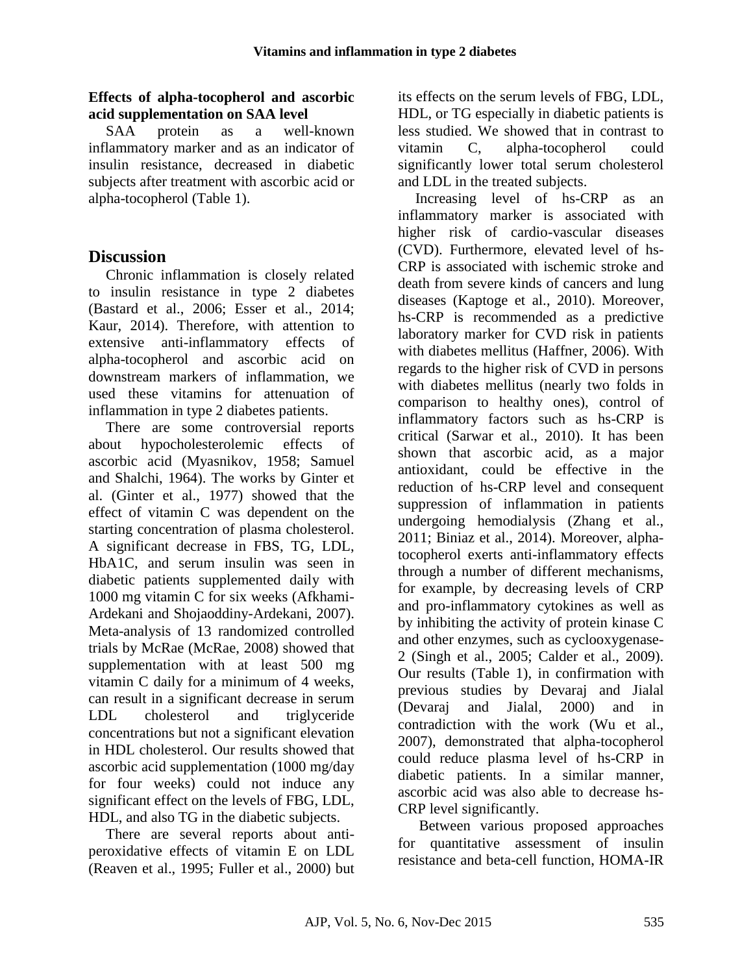#### **Effects of alpha-tocopherol and ascorbic acid supplementation on SAA level**

SAA protein as a well-known inflammatory marker and as an indicator of insulin resistance, decreased in diabetic subjects after treatment with ascorbic acid or alpha-tocopherol (Table 1).

# **Discussion**

Chronic inflammation is closely related to insulin resistance in type 2 diabetes (Bastard et al., 2006; Esser et al., 2014; Kaur, 2014). Therefore, with attention to extensive anti-inflammatory effects of alpha-tocopherol and ascorbic acid on downstream markers of inflammation, we used these vitamins for attenuation of inflammation in type 2 diabetes patients.

There are some controversial reports about hypocholesterolemic effects of ascorbic acid (Myasnikov, 1958; Samuel and Shalchi, 1964). The works by Ginter et al. (Ginter et al., 1977) showed that the effect of vitamin C was dependent on the starting concentration of plasma cholesterol. A significant decrease in FBS, TG, LDL, HbA1C, and serum insulin was seen in diabetic patients supplemented daily with 1000 mg vitamin C for six weeks (Afkhami-Ardekani and Shojaoddiny-Ardekani, 2007). Meta-analysis of 13 randomized controlled trials by McRae (McRae, 2008) showed that supplementation with at least 500 mg vitamin C daily for a minimum of 4 weeks, can result in a significant decrease in serum LDL cholesterol and triglyceride concentrations but not a significant elevation in HDL cholesterol. Our results showed that ascorbic acid supplementation (1000 mg/day for four weeks) could not induce any significant effect on the levels of FBG, LDL, HDL, and also TG in the diabetic subjects.

There are several reports about antiperoxidative effects of vitamin E on LDL (Reaven et al., 1995; Fuller et al., 2000) but its effects on the serum levels of FBG, LDL, HDL, or TG especially in diabetic patients is less studied. We showed that in contrast to vitamin C, alpha-tocopherol could significantly lower total serum cholesterol and LDL in the treated subjects.

Increasing level of hs-CRP as an inflammatory marker is associated with higher risk of cardio-vascular diseases (CVD). Furthermore, elevated level of hs-CRP is associated with ischemic stroke and death from severe kinds of cancers and lung diseases (Kaptoge et al., 2010). Moreover, hs-CRP is recommended as a predictive laboratory marker for CVD risk in patients with diabetes mellitus (Haffner, 2006). With regards to the higher risk of CVD in persons with diabetes mellitus (nearly two folds in comparison to healthy ones), control of inflammatory factors such as hs-CRP is critical (Sarwar et al., 2010). It has been shown that ascorbic acid, as a major antioxidant, could be effective in the reduction of hs-CRP level and consequent suppression of inflammation in patients undergoing hemodialysis (Zhang et al., 2011; Biniaz et al., 2014). Moreover, alphatocopherol exerts anti-inflammatory effects through a number of different mechanisms, for example, by decreasing levels of CRP and pro-inflammatory cytokines as well as by inhibiting the activity of protein kinase C and other enzymes, such as cyclooxygenase-2 (Singh et al., 2005; Calder et al., 2009). Our results (Table 1), in confirmation with previous studies by Devaraj and Jialal (Devaraj and Jialal, 2000) and in contradiction with the work (Wu et al., 2007), demonstrated that alpha-tocopherol could reduce plasma level of hs-CRP in diabetic patients. In a similar manner, ascorbic acid was also able to decrease hs-CRP level significantly.

Between various proposed approaches for quantitative assessment of insulin resistance and beta-cell function, HOMA-IR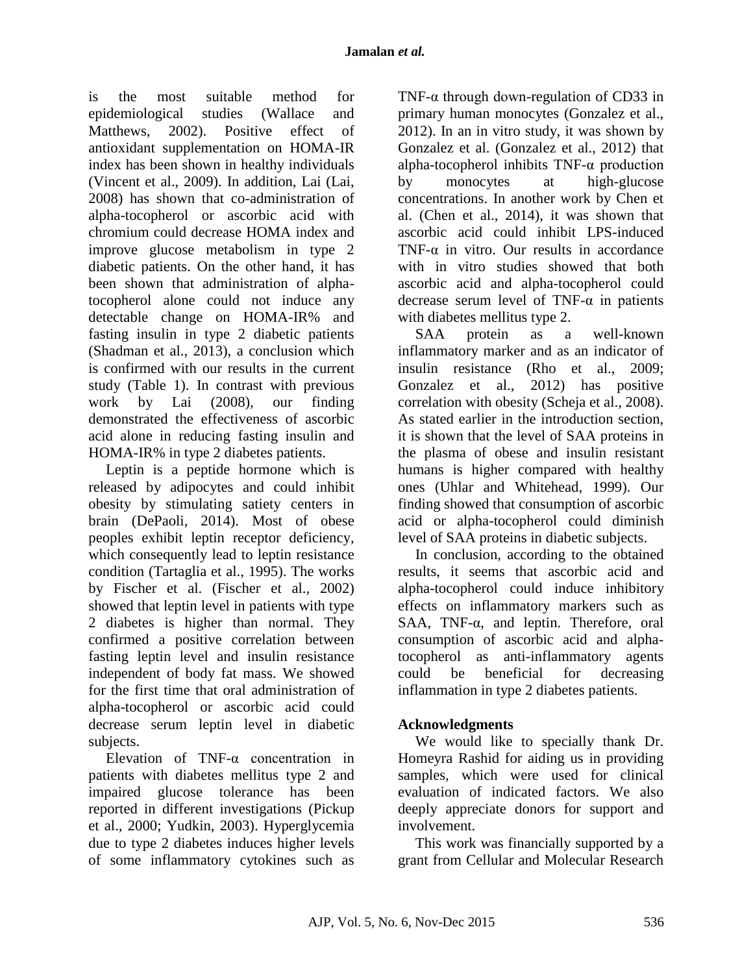is the most suitable method for epidemiological studies (Wallace and Matthews, 2002). Positive effect of antioxidant supplementation on HOMA-IR index has been shown in healthy individuals (Vincent et al., 2009). In addition, Lai (Lai, 2008) has shown that co-administration of alpha-tocopherol or ascorbic acid with chromium could decrease HOMA index and improve glucose metabolism in type 2 diabetic patients. On the other hand, it has been shown that administration of alphatocopherol alone could not induce any detectable change on HOMA-IR% and fasting insulin in type 2 diabetic patients (Shadman et al., 2013), a conclusion which is confirmed with our results in the current study (Table 1). In contrast with previous work by Lai (2008), our finding demonstrated the effectiveness of ascorbic acid alone in reducing fasting insulin and HOMA-IR% in type 2 diabetes patients.

Leptin is a peptide hormone which is released by adipocytes and could inhibit obesity by stimulating satiety centers in brain (DePaoli, 2014). Most of obese peoples exhibit leptin receptor deficiency, which consequently lead to leptin resistance condition (Tartaglia et al., 1995). The works by Fischer et al. (Fischer et al., 2002) showed that leptin level in patients with type 2 diabetes is higher than normal. They confirmed a positive correlation between fasting leptin level and insulin resistance independent of body fat mass. We showed for the first time that oral administration of alpha-tocopherol or ascorbic acid could decrease serum leptin level in diabetic subjects.

Elevation of TNF-α concentration in patients with diabetes mellitus type 2 and impaired glucose tolerance has been reported in different investigations (Pickup et al., 2000; Yudkin, 2003). Hyperglycemia due to type 2 diabetes induces higher levels of some inflammatory cytokines such as

TNF-α through down-regulation of CD33 in primary human monocytes (Gonzalez et al., 2012). In an in vitro study, it was shown by Gonzalez et al. (Gonzalez et al., 2012) that alpha-tocopherol inhibits TNF-α production by monocytes at high-glucose concentrations. In another work by Chen et al. (Chen et al., 2014), it was shown that ascorbic acid could inhibit LPS-induced TNF-α in vitro. Our results in accordance with in vitro studies showed that both ascorbic acid and alpha-tocopherol could decrease serum level of TNF- $\alpha$  in patients with diabetes mellitus type 2.

SAA protein as a well-known inflammatory marker and as an indicator of insulin resistance (Rho et al., 2009; Gonzalez et al., 2012) has positive correlation with obesity (Scheja et al., 2008). As stated earlier in the introduction section, it is shown that the level of SAA proteins in the plasma of obese and insulin resistant humans is higher compared with healthy ones (Uhlar and Whitehead, 1999). Our finding showed that consumption of ascorbic acid or alpha-tocopherol could diminish level of SAA proteins in diabetic subjects.

In conclusion, according to the obtained results, it seems that ascorbic acid and alpha-tocopherol could induce inhibitory effects on inflammatory markers such as SAA, TNF-α, and leptin. Therefore, oral consumption of ascorbic acid and alphatocopherol as anti-inflammatory agents could be beneficial for decreasing inflammation in type 2 diabetes patients.

## **Acknowledgments**

We would like to specially thank Dr. Homeyra Rashid for aiding us in providing samples, which were used for clinical evaluation of indicated factors. We also deeply appreciate donors for support and involvement.

This work was financially supported by a grant from Cellular and Molecular Research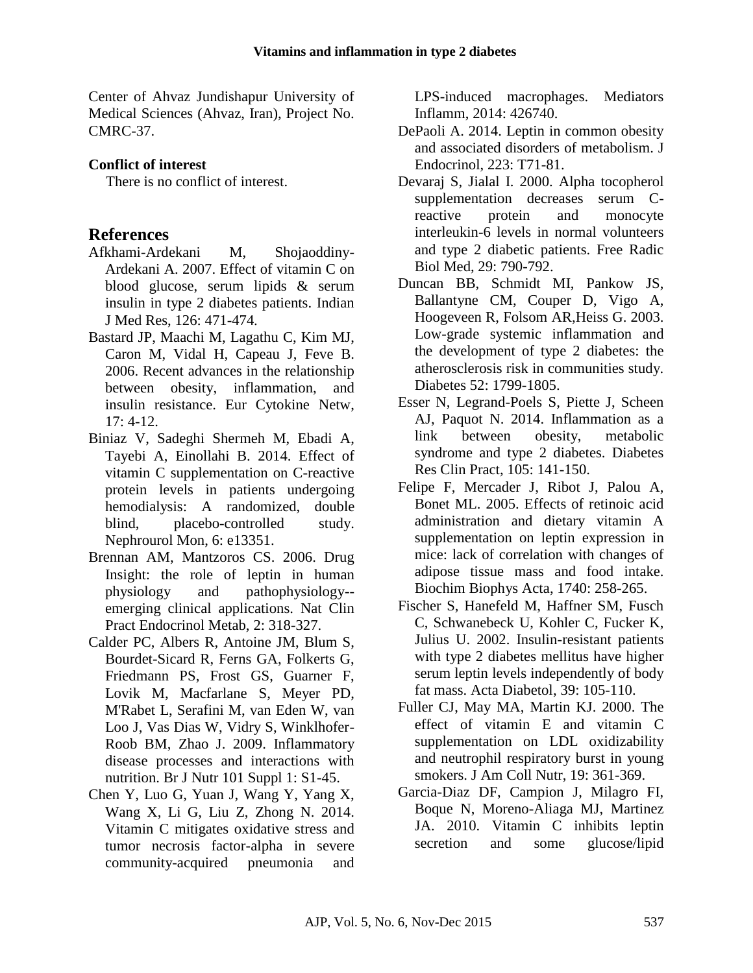Center of Ahvaz Jundishapur University of Medical Sciences (Ahvaz, Iran), Project No. CMRC-37.

## **Conflict of interest**

There is no conflict of interest.

# **References**

- Afkhami-Ardekani M, Shojaoddiny-Ardekani A. 2007. Effect of vitamin C on blood glucose, serum lipids & serum insulin in type 2 diabetes patients. Indian J Med Res, 126: 471-474.
- Bastard JP, Maachi M, Lagathu C, Kim MJ, Caron M, Vidal H, Capeau J, Feve B. 2006. Recent advances in the relationship between obesity, inflammation, and insulin resistance. Eur Cytokine Netw,  $17: 4-12.$
- Biniaz V, Sadeghi Shermeh M, Ebadi A, Tayebi A, Einollahi B. 2014. Effect of vitamin C supplementation on C-reactive protein levels in patients undergoing hemodialysis: A randomized, double blind, placebo-controlled study. Nephrourol Mon, 6: e13351.
- Brennan AM, Mantzoros CS. 2006. Drug Insight: the role of leptin in human physiology and pathophysiology- emerging clinical applications. Nat Clin Pract Endocrinol Metab, 2: 318-327.
- Calder PC, Albers R, Antoine JM, Blum S, Bourdet-Sicard R, Ferns GA, Folkerts G, Friedmann PS, Frost GS, Guarner F, Lovik M, Macfarlane S, Meyer PD, M'Rabet L, Serafini M, van Eden W, van Loo J, Vas Dias W, Vidry S, Winklhofer-Roob BM, Zhao J. 2009. Inflammatory disease processes and interactions with nutrition. Br J Nutr 101 Suppl 1: S1-45.
- Chen Y, Luo G, Yuan J, Wang Y, Yang X, Wang X, Li G, Liu Z, Zhong N. 2014. Vitamin C mitigates oxidative stress and tumor necrosis factor-alpha in severe community-acquired pneumonia and

LPS-induced macrophages. Mediators Inflamm, 2014: 426740.

- DePaoli A. 2014. Leptin in common obesity and associated disorders of metabolism. J Endocrinol, 223: T71-81.
- Devaraj S, Jialal I. 2000. Alpha tocopherol supplementation decreases serum Creactive protein and monocyte interleukin-6 levels in normal volunteers and type 2 diabetic patients. Free Radic Biol Med, 29: 790-792.
- Duncan BB, Schmidt MI, Pankow JS, Ballantyne CM, Couper D, Vigo A, Hoogeveen R, Folsom AR,Heiss G. 2003. Low-grade systemic inflammation and the development of type 2 diabetes: the atherosclerosis risk in communities study. Diabetes 52: 1799-1805.
- Esser N, Legrand-Poels S, Piette J, Scheen AJ, Paquot N. 2014. Inflammation as a link between obesity, metabolic syndrome and type 2 diabetes. Diabetes Res Clin Pract, 105: 141-150.
- Felipe F, Mercader J, Ribot J, Palou A, Bonet ML. 2005. Effects of retinoic acid administration and dietary vitamin A supplementation on leptin expression in mice: lack of correlation with changes of adipose tissue mass and food intake. Biochim Biophys Acta, 1740: 258-265.
- Fischer S, Hanefeld M, Haffner SM, Fusch C, Schwanebeck U, Kohler C, Fucker K, Julius U. 2002. Insulin-resistant patients with type 2 diabetes mellitus have higher serum leptin levels independently of body fat mass. Acta Diabetol, 39: 105-110.
- Fuller CJ, May MA, Martin KJ. 2000. The effect of vitamin E and vitamin C supplementation on LDL oxidizability and neutrophil respiratory burst in young smokers. J Am Coll Nutr, 19: 361-369.
- Garcia-Diaz DF, Campion J, Milagro FI, Boque N, Moreno-Aliaga MJ, Martinez JA. 2010. Vitamin C inhibits leptin secretion and some glucose/lipid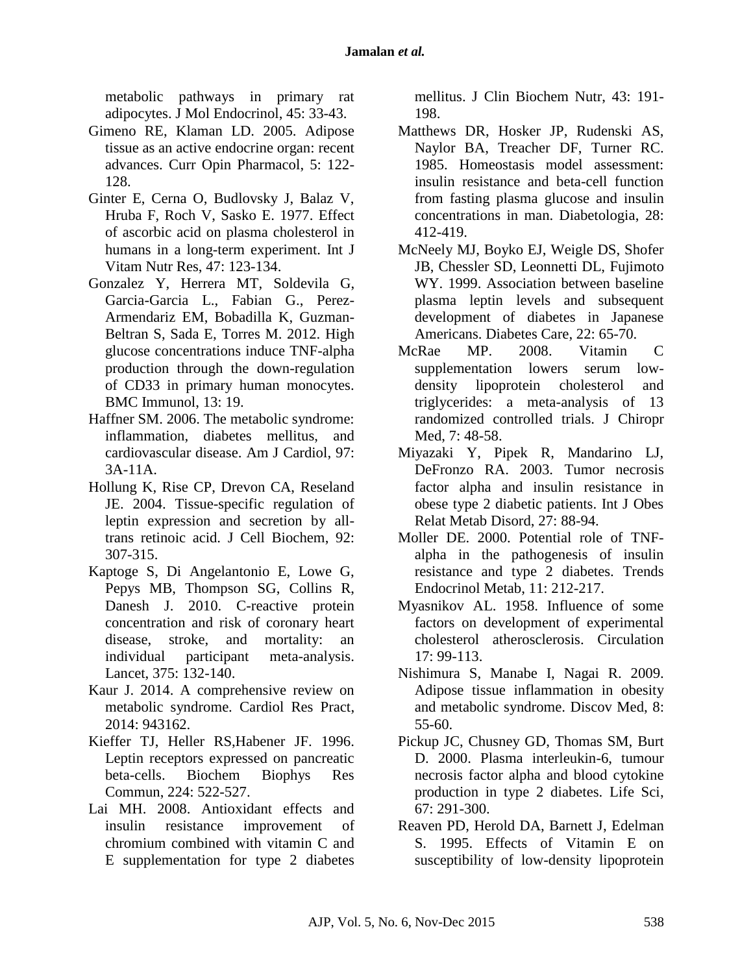metabolic pathways in primary rat adipocytes. J Mol Endocrinol, 45: 33-43.

- Gimeno RE, Klaman LD. 2005. Adipose tissue as an active endocrine organ: recent advances. Curr Opin Pharmacol, 5: 122- 128.
- Ginter E, Cerna O, Budlovsky J, Balaz V, Hruba F, Roch V, Sasko E. 1977. Effect of ascorbic acid on plasma cholesterol in humans in a long-term experiment. Int J Vitam Nutr Res, 47: 123-134.
- Gonzalez Y, Herrera MT, Soldevila G, Garcia-Garcia L., Fabian G., Perez-Armendariz EM, Bobadilla K, Guzman-Beltran S, Sada E, Torres M. 2012. High glucose concentrations induce TNF-alpha production through the down-regulation of CD33 in primary human monocytes. BMC Immunol, 13: 19.
- Haffner SM. 2006. The metabolic syndrome: inflammation, diabetes mellitus, and cardiovascular disease. Am J Cardiol, 97: 3A-11A.
- Hollung K, Rise CP, Drevon CA, Reseland JE. 2004. Tissue-specific regulation of leptin expression and secretion by alltrans retinoic acid. J Cell Biochem, 92: 307-315.
- Kaptoge S, Di Angelantonio E, Lowe G, Pepys MB, Thompson SG, Collins R, Danesh J. 2010. C-reactive protein concentration and risk of coronary heart disease, stroke, and mortality: an individual participant meta-analysis. Lancet, 375: 132-140.
- Kaur J. 2014. A comprehensive review on metabolic syndrome. Cardiol Res Pract, 2014: 943162.
- Kieffer TJ, Heller RS,Habener JF. 1996. Leptin receptors expressed on pancreatic beta-cells. Biochem Biophys Res Commun, 224: 522-527.
- Lai MH. 2008. Antioxidant effects and insulin resistance improvement of chromium combined with vitamin C and E supplementation for type 2 diabetes

mellitus. J Clin Biochem Nutr, 43: 191- 198.

- Matthews DR, Hosker JP, Rudenski AS, Naylor BA, Treacher DF, Turner RC. 1985. Homeostasis model assessment: insulin resistance and beta-cell function from fasting plasma glucose and insulin concentrations in man. Diabetologia, 28: 412-419.
- McNeely MJ, Boyko EJ, Weigle DS, Shofer JB, Chessler SD, Leonnetti DL, Fujimoto WY. 1999. Association between baseline plasma leptin levels and subsequent development of diabetes in Japanese Americans. Diabetes Care, 22: 65-70.
- McRae MP. 2008. Vitamin C supplementation lowers serum lowdensity lipoprotein cholesterol and triglycerides: a meta-analysis of 13 randomized controlled trials. J Chiropr Med, 7: 48-58.
- Miyazaki Y, Pipek R, Mandarino LJ, DeFronzo RA. 2003. Tumor necrosis factor alpha and insulin resistance in obese type 2 diabetic patients. Int J Obes Relat Metab Disord, 27: 88-94.
- Moller DE. 2000. Potential role of TNFalpha in the pathogenesis of insulin resistance and type 2 diabetes. Trends Endocrinol Metab, 11: 212-217.
- Myasnikov AL. 1958. Influence of some factors on development of experimental cholesterol atherosclerosis. Circulation 17: 99-113.
- Nishimura S, Manabe I, Nagai R. 2009. Adipose tissue inflammation in obesity and metabolic syndrome. Discov Med, 8: 55-60.
- Pickup JC, Chusney GD, Thomas SM, Burt D. 2000. Plasma interleukin-6, tumour necrosis factor alpha and blood cytokine production in type 2 diabetes. Life Sci, 67: 291-300.
- Reaven PD, Herold DA, Barnett J, Edelman S. 1995. Effects of Vitamin E on susceptibility of low-density lipoprotein